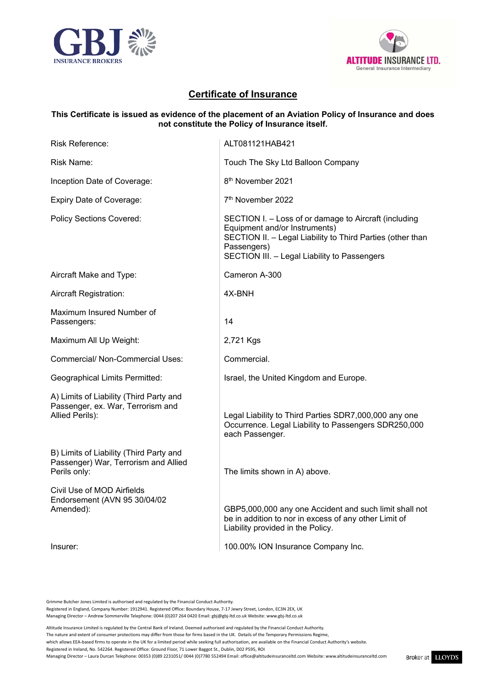



## **Certificate of Insurance**

### **This Certificate is issued as evidence of the placement of an Aviation Policy of Insurance and does not constitute the Policy of Insurance itself.**

| Risk Reference:                                                                                 | ALT081121HAB421                                                                                                                                                                                                     |
|-------------------------------------------------------------------------------------------------|---------------------------------------------------------------------------------------------------------------------------------------------------------------------------------------------------------------------|
| Risk Name:                                                                                      | Touch The Sky Ltd Balloon Company                                                                                                                                                                                   |
| Inception Date of Coverage:                                                                     | 8 <sup>th</sup> November 2021                                                                                                                                                                                       |
| Expiry Date of Coverage:                                                                        | 7 <sup>th</sup> November 2022                                                                                                                                                                                       |
| <b>Policy Sections Covered:</b>                                                                 | SECTION I. - Loss of or damage to Aircraft (including<br>Equipment and/or Instruments)<br>SECTION II. - Legal Liability to Third Parties (other than<br>Passengers)<br>SECTION III. - Legal Liability to Passengers |
| Aircraft Make and Type:                                                                         | Cameron A-300                                                                                                                                                                                                       |
| Aircraft Registration:                                                                          | 4X-BNH                                                                                                                                                                                                              |
| Maximum Insured Number of<br>Passengers:                                                        | 14                                                                                                                                                                                                                  |
| Maximum All Up Weight:                                                                          | 2,721 Kgs                                                                                                                                                                                                           |
| <b>Commercial/ Non-Commercial Uses:</b>                                                         | Commercial.                                                                                                                                                                                                         |
| Geographical Limits Permitted:                                                                  | Israel, the United Kingdom and Europe.                                                                                                                                                                              |
| A) Limits of Liability (Third Party and<br>Passenger, ex. War, Terrorism and<br>Allied Perils): | Legal Liability to Third Parties SDR7,000,000 any one<br>Occurrence. Legal Liability to Passengers SDR250,000<br>each Passenger.                                                                                    |
| B) Limits of Liability (Third Party and<br>Passenger) War, Terrorism and Allied<br>Perils only: | The limits shown in A) above.                                                                                                                                                                                       |
| Civil Use of MOD Airfields<br>Endorsement (AVN 95 30/04/02<br>Amended):                         | GBP5,000,000 any one Accident and such limit shall not<br>be in addition to nor in excess of any other Limit of<br>Liability provided in the Policy.                                                                |
| Insurer:                                                                                        | 100.00% ION Insurance Company Inc.                                                                                                                                                                                  |

Grimme Butcher Jones Limited is authorised and regulated by the Financial Conduct Authority.

Registered in England, Company Number: 1912941. Registered Office: Boundary House, 7-17 Jewry Street, London, EC3N 2EX, UK

Managing Director – Andrew Sommerville Telephone: 0044 (0)207 264 0420 Email: gbj@gbj-ltd.co.uk Website: [www.gbj-ltd.co.uk](http://www.gbj-ltd.co.uk/)

Managing Director – Laura Durcan Telephone: 00353 (0)89 2231051/ 0044 (0)7780 552494 Email[: office@altitudeinsuranceltd.com](mailto:office@altitudeinsuranceltd.com) Website[: www.altitudeinsuranceltd.com](http://www.altitudeinsuranceltd.com/)

Altitude Insurance Limited is regulated by the Central Bank of Ireland. Deemed authorised and regulated by the Financial Conduct Authority.

The nature and extent of consumer protections may differ from those for firms based in the UK. Details of the Temporary Permissions Regime,

which allows EEA-based firms to operate in the UK for a limited period while seeking full authorisation, are available on the Financial Conduct Authority's website.

Registered in Ireland, No. 542264. Registered Office: Ground Floor, 71 Lower Baggot St., Dublin, D02 P595, ROI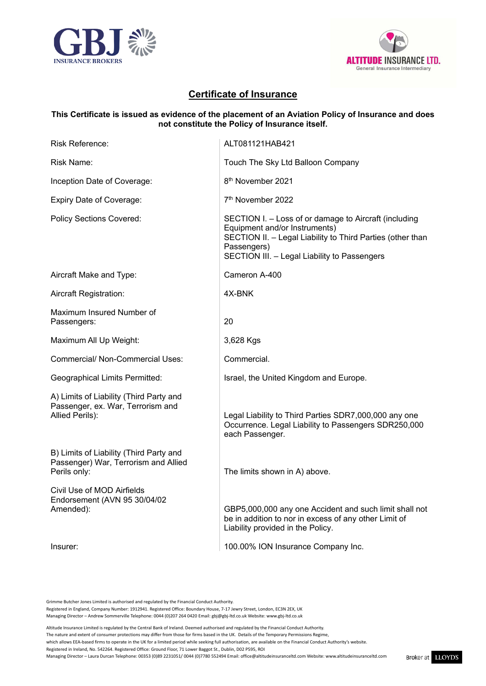



# **Certificate of Insurance**

### **This Certificate is issued as evidence of the placement of an Aviation Policy of Insurance and does not constitute the Policy of Insurance itself.**

| Risk Reference:                                                                                 | ALT081121HAB421                                                                                                                                                                                                     |
|-------------------------------------------------------------------------------------------------|---------------------------------------------------------------------------------------------------------------------------------------------------------------------------------------------------------------------|
| Risk Name:                                                                                      | Touch The Sky Ltd Balloon Company                                                                                                                                                                                   |
| Inception Date of Coverage:                                                                     | 8 <sup>th</sup> November 2021                                                                                                                                                                                       |
| Expiry Date of Coverage:                                                                        | 7 <sup>th</sup> November 2022                                                                                                                                                                                       |
| <b>Policy Sections Covered:</b>                                                                 | SECTION I. - Loss of or damage to Aircraft (including<br>Equipment and/or Instruments)<br>SECTION II. - Legal Liability to Third Parties (other than<br>Passengers)<br>SECTION III. - Legal Liability to Passengers |
| Aircraft Make and Type:                                                                         | Cameron A-400                                                                                                                                                                                                       |
| Aircraft Registration:                                                                          | 4X-BNK                                                                                                                                                                                                              |
| Maximum Insured Number of<br>Passengers:                                                        | 20                                                                                                                                                                                                                  |
| Maximum All Up Weight:                                                                          | 3,628 Kgs                                                                                                                                                                                                           |
| <b>Commercial/ Non-Commercial Uses:</b>                                                         | Commercial.                                                                                                                                                                                                         |
| Geographical Limits Permitted:                                                                  | Israel, the United Kingdom and Europe.                                                                                                                                                                              |
| A) Limits of Liability (Third Party and<br>Passenger, ex. War, Terrorism and<br>Allied Perils): | Legal Liability to Third Parties SDR7,000,000 any one<br>Occurrence. Legal Liability to Passengers SDR250,000<br>each Passenger.                                                                                    |
| B) Limits of Liability (Third Party and<br>Passenger) War, Terrorism and Allied<br>Perils only: | The limits shown in A) above.                                                                                                                                                                                       |
| Civil Use of MOD Airfields<br>Endorsement (AVN 95 30/04/02<br>Amended):                         | GBP5,000,000 any one Accident and such limit shall not<br>be in addition to nor in excess of any other Limit of<br>Liability provided in the Policy.                                                                |
| Insurer:                                                                                        | 100.00% ION Insurance Company Inc.                                                                                                                                                                                  |

Grimme Butcher Jones Limited is authorised and regulated by the Financial Conduct Authority.

Registered in England, Company Number: 1912941. Registered Office: Boundary House, 7-17 Jewry Street, London, EC3N 2EX, UK

Managing Director – Andrew Sommerville Telephone: 0044 (0)207 264 0420 Email: gbj@gbj-ltd.co.uk Website: [www.gbj-ltd.co.uk](http://www.gbj-ltd.co.uk/)

Managing Director – Laura Durcan Telephone: 00353 (0)89 2231051/ 0044 (0)7780 552494 Email[: office@altitudeinsuranceltd.com](mailto:office@altitudeinsuranceltd.com) Website[: www.altitudeinsuranceltd.com](http://www.altitudeinsuranceltd.com/)

Altitude Insurance Limited is regulated by the Central Bank of Ireland. Deemed authorised and regulated by the Financial Conduct Authority.

The nature and extent of consumer protections may differ from those for firms based in the UK. Details of the Temporary Permissions Regime,

which allows EEA-based firms to operate in the UK for a limited period while seeking full authorisation, are available on the Financial Conduct Authority's website.

Registered in Ireland, No. 542264. Registered Office: Ground Floor, 71 Lower Baggot St., Dublin, D02 P595, ROI